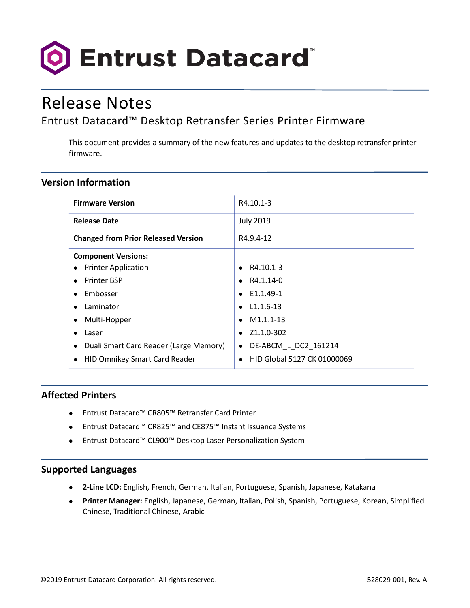

# Release Notes

# Entrust Datacard™ Desktop Retransfer Series Printer Firmware

This document provides a summary of the new features and updates to the desktop retransfer printer firmware.

## **Version Information**

| <b>Firmware Version</b>                             | R4.10.1-3                         |
|-----------------------------------------------------|-----------------------------------|
| <b>Release Date</b>                                 | <b>July 2019</b>                  |
| <b>Changed from Prior Released Version</b>          | R4.9.4-12                         |
| <b>Component Versions:</b>                          |                                   |
| <b>Printer Application</b><br>$\bullet$             | R4.10.1-3                         |
| <b>Printer BSP</b>                                  | R4.1.14-0                         |
| Embosser                                            | E1.1.49-1                         |
| Laminator<br>$\bullet$                              | $L1.1.6-13$                       |
| Multi-Hopper<br>$\bullet$                           | M <sub>1.1</sub> .1-13            |
| Laser<br>$\bullet$                                  | Z1.1.0-302                        |
| Duali Smart Card Reader (Large Memory)<br>$\bullet$ | DE-ABCM L DC2 161214<br>$\bullet$ |
| <b>HID Omnikey Smart Card Reader</b><br>$\bullet$   | HID Global 5127 CK 01000069       |

### **Affected Printers**

- Entrust Datacard™ CR805™ Retransfer Card Printer
- Entrust Datacard™ CR825™ and CE875™ Instant Issuance Systems
- Entrust Datacard™ CL900™ Desktop Laser Personalization System

#### **Supported Languages**

- **2-Line LCD:** English, French, German, Italian, Portuguese, Spanish, Japanese, Katakana
- **Printer Manager:** English, Japanese, German, Italian, Polish, Spanish, Portuguese, Korean, Simplified Chinese, Traditional Chinese, Arabic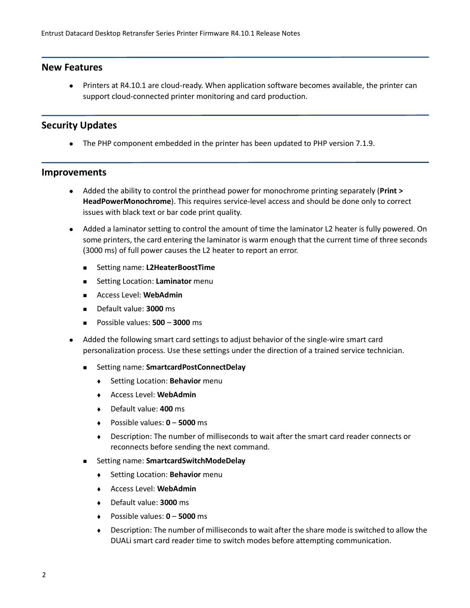#### **New Features**

 Printers at R4.10.1 are cloud-ready. When application software becomes available, the printer can support cloud-connected printer monitoring and card production.

#### **Security Updates**

• The PHP component embedded in the printer has been updated to PHP version 7.1.9.

#### **Improvements**

- Added the ability to control the printhead power for monochrome printing separately (**Print > HeadPowerMonochrome**). This requires service-level access and should be done only to correct issues with black text or bar code print quality.
- Added a laminator setting to control the amount of time the laminator L2 heater is fully powered. On some printers, the card entering the laminator is warm enough that the current time of three seconds (3000 ms) of full power causes the L2 heater to report an error.
	- Setting name: **L2HeaterBoostTime**
	- **EXEC** Setting Location: **Laminator** menu
	- Access Level: **WebAdmin**
	- Default value: **3000** ms
	- Possible values: **500 3000** ms
- Added the following smart card settings to adjust behavior of the single-wire smart card personalization process. Use these settings under the direction of a trained service technician.
	- Setting name: **SmartcardPostConnectDelay**
		- Setting Location: **Behavior** menu
		- Access Level: **WebAdmin**
		- Default value: **400** ms
		- Possible values: **0 5000** ms
		- Description: The number of milliseconds to wait after the smart card reader connects or reconnects before sending the next command.
	- Setting name: **SmartcardSwitchModeDelay**
		- Setting Location: **Behavior** menu
		- Access Level: **WebAdmin**
		- Default value: **3000** ms
		- Possible values: **0 5000** ms
		- Description: The number of milliseconds to wait after the share mode is switched to allow the DUALi smart card reader time to switch modes before attempting communication.